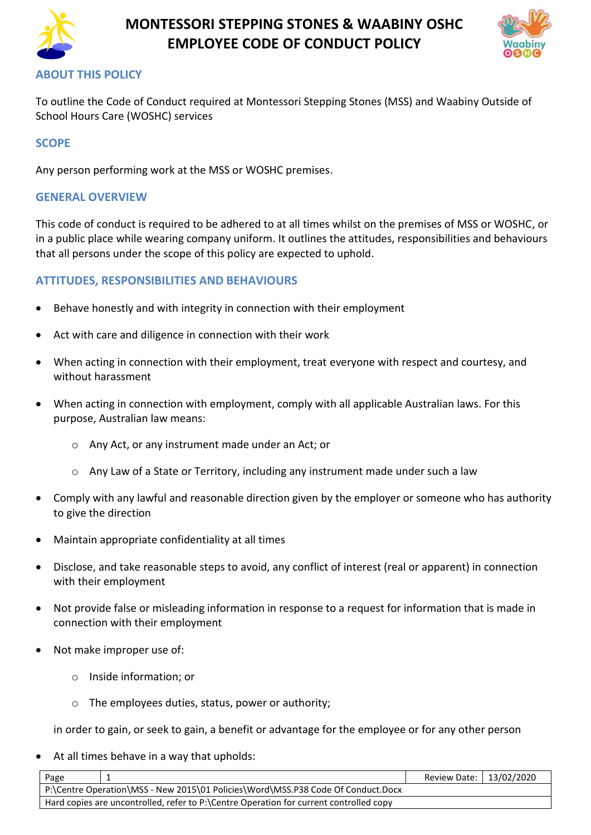

# **MONTESSORI STEPPING STONES & WAABINY OSHC EMPLOYEE CODE OF CONDUCT POLICY**



# **ABOUT THIS POLICY**

To outline the Code of Conduct required at Montessori Stepping Stones (MSS) and Waabiny Outside of School Hours Care (WOSHC) services

## **SCOPE**

Any person performing work at the MSS or WOSHC premises.

#### **GENERAL OVERVIEW**

This code of conduct is required to be adhered to at all times whilst on the premises of MSS or WOSHC, or in a public place while wearing company uniform. It outlines the attitudes, responsibilities and behaviours that all persons under the scope of this policy are expected to uphold.

### **ATTITUDES, RESPONSIBILITIES AND BEHAVIOURS**

- Behave honestly and with integrity in connection with their employment
- Act with care and diligence in connection with their work
- When acting in connection with their employment, treat everyone with respect and courtesy, and without harassment
- When acting in connection with employment, comply with all applicable Australian laws. For this purpose, Australian law means:
	- o Any Act, or any instrument made under an Act; or
	- o Any Law of a State or Territory, including any instrument made under such a law
- Comply with any lawful and reasonable direction given by the employer or someone who has authority to give the direction
- Maintain appropriate confidentiality at all times
- Disclose, and take reasonable steps to avoid, any conflict of interest (real or apparent) in connection with their employment
- Not provide false or misleading information in response to a request for information that is made in connection with their employment
- Not make improper use of:
	- o Inside information; or
	- o The employees duties, status, power or authority;

in order to gain, or seek to gain, a benefit or advantage for the employee or for any other person

At all times behave in a way that upholds:

| Page                                                                                   | Review Date:   13/02/2020 |  |
|----------------------------------------------------------------------------------------|---------------------------|--|
| P:\Centre Operation\MSS - New 2015\01 Policies\Word\MSS.P38 Code Of Conduct.Docx       |                           |  |
| Hard copies are uncontrolled, refer to P:\Centre Operation for current controlled copy |                           |  |